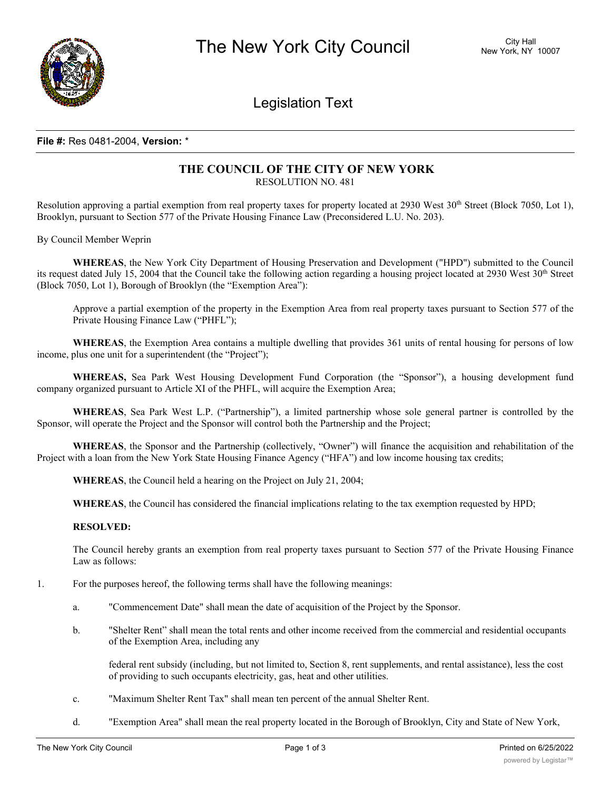

Legislation Text

## **File #:** Res 0481-2004, **Version:** \*

### **THE COUNCIL OF THE CITY OF NEW YORK** RESOLUTION NO. 481

Resolution approving a partial exemption from real property taxes for property located at 2930 West  $30<sup>th</sup>$  Street (Block 7050, Lot 1), Brooklyn, pursuant to Section 577 of the Private Housing Finance Law (Preconsidered L.U. No. 203).

By Council Member Weprin

**WHEREAS**, the New York City Department of Housing Preservation and Development ("HPD") submitted to the Council its request dated July 15, 2004 that the Council take the following action regarding a housing project located at 2930 West  $30<sup>th</sup>$  Street (Block 7050, Lot 1), Borough of Brooklyn (the "Exemption Area"):

Approve a partial exemption of the property in the Exemption Area from real property taxes pursuant to Section 577 of the Private Housing Finance Law ("PHFL");

**WHEREAS**, the Exemption Area contains a multiple dwelling that provides 361 units of rental housing for persons of low income, plus one unit for a superintendent (the "Project");

**WHEREAS,** Sea Park West Housing Development Fund Corporation (the "Sponsor"), a housing development fund company organized pursuant to Article XI of the PHFL, will acquire the Exemption Area;

**WHEREAS**, Sea Park West L.P. ("Partnership"), a limited partnership whose sole general partner is controlled by the Sponsor, will operate the Project and the Sponsor will control both the Partnership and the Project;

**WHEREAS**, the Sponsor and the Partnership (collectively, "Owner") will finance the acquisition and rehabilitation of the Project with a loan from the New York State Housing Finance Agency ("HFA") and low income housing tax credits;

**WHEREAS**, the Council held a hearing on the Project on July 21, 2004;

**WHEREAS**, the Council has considered the financial implications relating to the tax exemption requested by HPD;

#### **RESOLVED:**

The Council hereby grants an exemption from real property taxes pursuant to Section 577 of the Private Housing Finance Law as follows:

- 1. For the purposes hereof, the following terms shall have the following meanings:
	- a. "Commencement Date" shall mean the date of acquisition of the Project by the Sponsor.
	- b. "Shelter Rent" shall mean the total rents and other income received from the commercial and residential occupants of the Exemption Area, including any

federal rent subsidy (including, but not limited to, Section 8, rent supplements, and rental assistance), less the cost of providing to such occupants electricity, gas, heat and other utilities.

- c. "Maximum Shelter Rent Tax" shall mean ten percent of the annual Shelter Rent.
- d. "Exemption Area" shall mean the real property located in the Borough of Brooklyn, City and State of New York,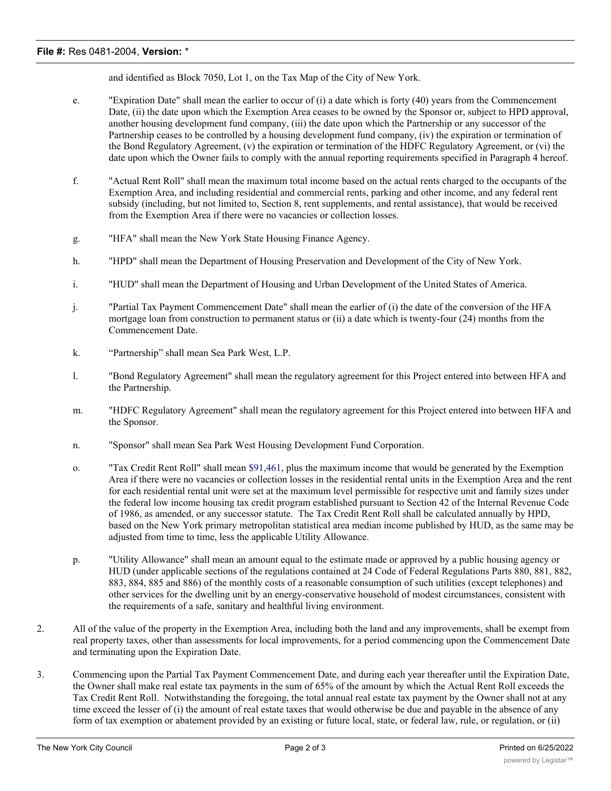## **File #:** Res 0481-2004, **Version:** \*

and identified as Block 7050, Lot 1, on the Tax Map of the City of New York.

- e. "Expiration Date" shall mean the earlier to occur of (i) a date which is forty (40) years from the Commencement Date, (ii) the date upon which the Exemption Area ceases to be owned by the Sponsor or, subject to HPD approval, another housing development fund company, (iii) the date upon which the Partnership or any successor of the Partnership ceases to be controlled by a housing development fund company, (iv) the expiration or termination of the Bond Regulatory Agreement, (v) the expiration or termination of the HDFC Regulatory Agreement, or (vi) the date upon which the Owner fails to comply with the annual reporting requirements specified in Paragraph 4 hereof.
- f. "Actual Rent Roll" shall mean the maximum total income based on the actual rents charged to the occupants of the Exemption Area, and including residential and commercial rents, parking and other income, and any federal rent subsidy (including, but not limited to, Section 8, rent supplements, and rental assistance), that would be received from the Exemption Area if there were no vacancies or collection losses.
- g. "HFA" shall mean the New York State Housing Finance Agency.
- h. "HPD" shall mean the Department of Housing Preservation and Development of the City of New York.
- i. "HUD" shall mean the Department of Housing and Urban Development of the United States of America.
- j. "Partial Tax Payment Commencement Date" shall mean the earlier of (i) the date of the conversion of the HFA mortgage loan from construction to permanent status or (ii) a date which is twenty-four (24) months from the Commencement Date.
- k. "Partnership" shall mean Sea Park West, L.P.
- l. "Bond Regulatory Agreement" shall mean the regulatory agreement for this Project entered into between HFA and the Partnership.
- m. "HDFC Regulatory Agreement" shall mean the regulatory agreement for this Project entered into between HFA and the Sponsor.
- n. "Sponsor" shall mean Sea Park West Housing Development Fund Corporation.
- o. "Tax Credit Rent Roll" shall mean \$91,461, plus the maximum income that would be generated by the Exemption Area if there were no vacancies or collection losses in the residential rental units in the Exemption Area and the rent for each residential rental unit were set at the maximum level permissible for respective unit and family sizes under the federal low income housing tax credit program established pursuant to Section 42 of the Internal Revenue Code of 1986, as amended, or any successor statute. The Tax Credit Rent Roll shall be calculated annually by HPD, based on the New York primary metropolitan statistical area median income published by HUD, as the same may be adjusted from time to time, less the applicable Utility Allowance.
- p. "Utility Allowance" shall mean an amount equal to the estimate made or approved by a public housing agency or HUD (under applicable sections of the regulations contained at 24 Code of Federal Regulations Parts 880, 881, 882, 883, 884, 885 and 886) of the monthly costs of a reasonable consumption of such utilities (except telephones) and other services for the dwelling unit by an energy-conservative household of modest circumstances, consistent with the requirements of a safe, sanitary and healthful living environment.
- 2. All of the value of the property in the Exemption Area, including both the land and any improvements, shall be exempt from real property taxes, other than assessments for local improvements, for a period commencing upon the Commencement Date and terminating upon the Expiration Date.
- 3. Commencing upon the Partial Tax Payment Commencement Date, and during each year thereafter until the Expiration Date, the Owner shall make real estate tax payments in the sum of 65% of the amount by which the Actual Rent Roll exceeds the Tax Credit Rent Roll. Notwithstanding the foregoing, the total annual real estate tax payment by the Owner shall not at any time exceed the lesser of (i) the amount of real estate taxes that would otherwise be due and payable in the absence of any form of tax exemption or abatement provided by an existing or future local, state, or federal law, rule, or regulation, or (ii)